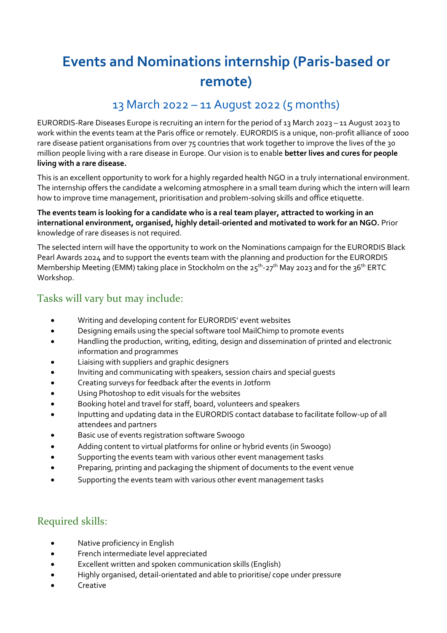# **Events and Nominations internship (Paris-based or remote)**

## 13 March 2022 – 11 August 2022 (5 months)

EURORDIS-Rare Diseases Europe is recruiting an intern for the period of 13 March 2023 – 11 August 2023 to work within the events team at the Paris office or remotely. EURORDIS is a unique, non-profit alliance of 1000 rare disease patient organisations from over 75 countries that work together to improve the lives of the 30 million people living with a rare disease in Europe. Our vision is to enable **better lives and cures for people living with a rare disease.**

This is an excellent opportunity to work for a highly regarded health NGO in a truly international environment. The internship offers the candidate a welcoming atmosphere in a small team during which the intern will learn how to improve time management, prioritisation and problem-solving skills and office etiquette.

#### **The events team is looking for a candidate who is a real team player, attracted to working in an international environment, organised, highly detail-oriented and motivated to work for an NGO.** Prior knowledge of rare diseases is not required.

The selected intern will have the opportunity to work on the Nominations campaign for the EURORDIS Black Pearl Awards 2024 and to support the events team with the planning and production for the EURORDIS Membership Meeting (EMM) taking place in Stockholm on the 25<sup>th</sup>-27<sup>th</sup> May 2023 and for the 36<sup>th</sup> ERTC Workshop.

### Tasks will vary but may include:

- Writing and developing content for EURORDIS' event websites
- Designing emails using the special software tool MailChimp to promote events
- Handling the production, writing, editing, design and dissemination of printed and electronic information and programmes
- Liaising with suppliers and graphic designers
- Inviting and communicating with speakers, session chairs and special guests
- Creating surveys for feedback after the events in Jotform
- Using Photoshop to edit visuals for the websites
- Booking hotel and travel for staff, board, volunteers and speakers
- Inputting and updating data in the EURORDIS contact database to facilitate follow-up of all attendees and partners
- Basic use of events registration software Swoogo
- Adding content to virtual platforms for online or hybrid events (in Swoogo)
- Supporting the events team with various other event management tasks
- Preparing, printing and packaging the shipment of documents to the event venue
- Supporting the events team with various other event management tasks

### Required skills:

- Native proficiency in English
- French intermediate level appreciated
- Excellent written and spoken communication skills (English)
- Highly organised, detail-orientated and able to prioritise/ cope under pressure
- Creative